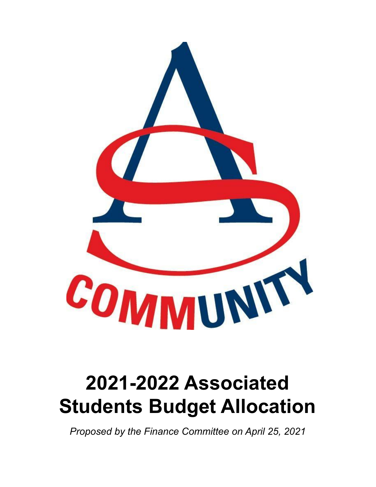

## **2021-2022 Associated Students Budget Allocation**

*Proposed by the Finance Committee on April 25, 2021*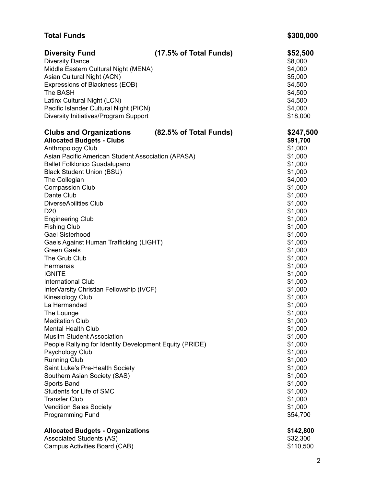| <b>Total Funds</b>                                                                                                                                                                                                                                                                                                                                                                                                                                                                                                                                                                                                                                  |                        | \$300,000                                                                                                                                                                                                                                                             |
|-----------------------------------------------------------------------------------------------------------------------------------------------------------------------------------------------------------------------------------------------------------------------------------------------------------------------------------------------------------------------------------------------------------------------------------------------------------------------------------------------------------------------------------------------------------------------------------------------------------------------------------------------------|------------------------|-----------------------------------------------------------------------------------------------------------------------------------------------------------------------------------------------------------------------------------------------------------------------|
| <b>Diversity Fund</b><br><b>Diversity Dance</b><br>Middle Eastern Cultural Night (MENA)<br>Asian Cultural Night (ACN)<br>Expressions of Blackness (EOB)<br>The BASH<br>Latinx Cultural Night (LCN)<br>Pacific Islander Cultural Night (PICN)<br>Diversity Initiatives/Program Support                                                                                                                                                                                                                                                                                                                                                               | (17.5% of Total Funds) | \$52,500<br>\$8,000<br>\$4,000<br>\$5,000<br>\$4,500<br>\$4,500<br>\$4,500<br>\$4,000<br>\$18,000                                                                                                                                                                     |
| <b>Allocated Budgets - Clubs</b><br>Anthropology Club<br>Asian Pacific American Student Association (APASA)<br><b>Ballet Folklorico Guadalupano</b><br><b>Black Student Union (BSU)</b><br>The Collegian<br><b>Compassion Club</b><br>Dante Club<br><b>DiverseAbilities Club</b><br>D <sub>20</sub><br><b>Engineering Club</b><br><b>Fishing Club</b><br><b>Gael Sisterhood</b><br>Gaels Against Human Trafficking (LIGHT)<br><b>Green Gaels</b><br>The Grub Club<br>Hermanas<br><b>IGNITE</b><br><b>International Club</b><br>InterVarsity Christian Fellowship (IVCF)<br>Kinesiology Club<br>La Hermandad<br>The Lounge<br><b>Meditation Club</b> |                        | \$91,700<br>\$1,000<br>\$1,000<br>\$1,000<br>\$1,000<br>\$4,000<br>\$1,000<br>\$1,000<br>\$1,000<br>\$1,000<br>\$1,000<br>\$1,000<br>\$1,000<br>\$1,000<br>\$1,000<br>\$1,000<br>\$1,000<br>\$1,000<br>\$1,000<br>\$1,000<br>\$1,000<br>\$1,000<br>\$1,000<br>\$1,000 |
| <b>Mental Health Club</b><br><b>Musilm Student Association</b><br>People Rallying for Identity Development Equity (PRIDE)<br>Psychology Club<br><b>Running Club</b><br>Saint Luke's Pre-Health Society<br>Southern Asian Society (SAS)<br>Sports Band<br>Students for Life of SMC<br><b>Transfer Club</b><br><b>Vendition Sales Society</b><br><b>Programming Fund</b>                                                                                                                                                                                                                                                                              |                        | \$1,000<br>\$1,000<br>\$1,000<br>\$1,000<br>\$1,000<br>\$1,000<br>\$1,000<br>\$1,000<br>\$1,000<br>\$1,000<br>\$1,000<br>\$54,700                                                                                                                                     |
| <b>Allocated Budgets - Organizations</b><br><b>Associated Students (AS)</b><br>Campus Activities Board (CAB)                                                                                                                                                                                                                                                                                                                                                                                                                                                                                                                                        |                        | \$142,800<br>\$32,300<br>\$110,500                                                                                                                                                                                                                                    |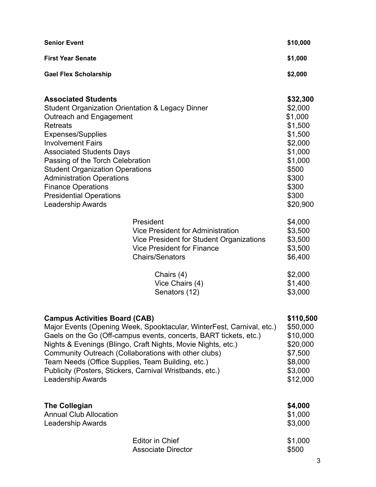| <b>Senior Event</b>                                                                                                                                                                                                                                                                                                                                                                                                                                     |                                                                                                                                                           | \$10,000                                                                                                                              |
|---------------------------------------------------------------------------------------------------------------------------------------------------------------------------------------------------------------------------------------------------------------------------------------------------------------------------------------------------------------------------------------------------------------------------------------------------------|-----------------------------------------------------------------------------------------------------------------------------------------------------------|---------------------------------------------------------------------------------------------------------------------------------------|
| <b>First Year Senate</b>                                                                                                                                                                                                                                                                                                                                                                                                                                |                                                                                                                                                           | \$1,000                                                                                                                               |
| <b>Gael Flex Scholarship</b>                                                                                                                                                                                                                                                                                                                                                                                                                            |                                                                                                                                                           | \$2,000                                                                                                                               |
| <b>Associated Students</b><br><b>Student Organization Orientation &amp; Legacy Dinner</b><br>Outreach and Engagement<br><b>Retreats</b><br><b>Expenses/Supplies</b><br><b>Involvement Fairs</b><br><b>Associated Students Days</b><br>Passing of the Torch Celebration<br><b>Student Organization Operations</b><br><b>Administration Operations</b><br><b>Finance Operations</b><br><b>Presidential Operations</b><br><b>Leadership Awards</b>         |                                                                                                                                                           | \$32,300<br>\$2,000<br>\$1,000<br>\$1,500<br>\$1,500<br>\$2,000<br>\$1,000<br>\$1,000<br>\$500<br>\$300<br>\$300<br>\$300<br>\$20,900 |
|                                                                                                                                                                                                                                                                                                                                                                                                                                                         | President<br>Vice President for Administration<br>Vice President for Student Organizations<br><b>Vice President for Finance</b><br><b>Chairs/Senators</b> | \$4,000<br>\$3,500<br>\$3,500<br>\$3,500<br>\$6,400                                                                                   |
|                                                                                                                                                                                                                                                                                                                                                                                                                                                         | Chairs (4)<br>Vice Chairs (4)<br>Senators (12)                                                                                                            | \$2,000<br>\$1,400<br>\$3,000                                                                                                         |
| <b>Campus Activities Board (CAB)</b><br>Major Events (Opening Week, Spooktacular, WinterFest, Carnival, etc.)<br>Gaels on the Go (Off-campus events, concerts, BART tickets, etc.)<br>Nights & Evenings (Blingo, Craft Nights, Movie Nights, etc.)<br>Community Outreach (Collaborations with other clubs)<br>Team Needs (Office Supplies, Team Building, etc.)<br>Publicity (Posters, Stickers, Carnival Wristbands, etc.)<br><b>Leadership Awards</b> |                                                                                                                                                           | \$110,500<br>\$50,000<br>\$10,000<br>\$20,000<br>\$7,500<br>\$8,000<br>\$3,000<br>\$12,000                                            |
| <b>The Collegian</b><br><b>Annual Club Allocation</b><br><b>Leadership Awards</b>                                                                                                                                                                                                                                                                                                                                                                       |                                                                                                                                                           | \$4,000<br>\$1,000<br>\$3,000                                                                                                         |
|                                                                                                                                                                                                                                                                                                                                                                                                                                                         | <b>Editor in Chief</b><br><b>Associate Director</b>                                                                                                       | \$1,000<br>\$500                                                                                                                      |